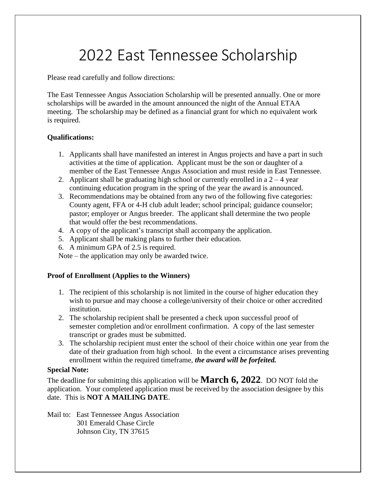# 2022 East Tennessee Scholarship

Please read carefully and follow directions:

The East Tennessee Angus Association Scholarship will be presented annually. One or more scholarships will be awarded in the amount announced the night of the Annual ETAA meeting. The scholarship may be defined as a financial grant for which no equivalent work is required.

### **Qualifications:**

- 1. Applicants shall have manifested an interest in Angus projects and have a part in such activities at the time of application. Applicant must be the son or daughter of a member of the East Tennessee Angus Association and must reside in East Tennessee.
- 2. Applicant shall be graduating high school or currently enrolled in a  $2 4$  year continuing education program in the spring of the year the award is announced.
- 3. Recommendations may be obtained from any two of the following five categories: County agent, FFA or 4-H club adult leader; school principal; guidance counselor; pastor; employer or Angus breeder. The applicant shall determine the two people that would offer the best recommendations.
- 4. A copy of the applicant's transcript shall accompany the application.
- 5. Applicant shall be making plans to further their education.
- 6. A minimum GPA of 2.5 is required.

Note – the application may only be awarded twice.

### **Proof of Enrollment (Applies to the Winners)**

- 1. The recipient of this scholarship is not limited in the course of higher education they wish to pursue and may choose a college/university of their choice or other accredited institution.
- 2. The scholarship recipient shall be presented a check upon successful proof of semester completion and/or enrollment confirmation. A copy of the last semester transcript or grades must be submitted.
- 3. The scholarship recipient must enter the school of their choice within one year from the date of their graduation from high school. In the event a circumstance arises preventing enrollment within the required timeframe, *the award will be forfeited.*

### **Special Note:**

The deadline for submitting this application will be **March 6, 2022**. DO NOT fold the application. Your completed application must be received by the association designee by this date. This is **NOT A MAILING DATE**.

Mail to: East Tennessee Angus Association 301 Emerald Chase Circle Johnson City, TN 37615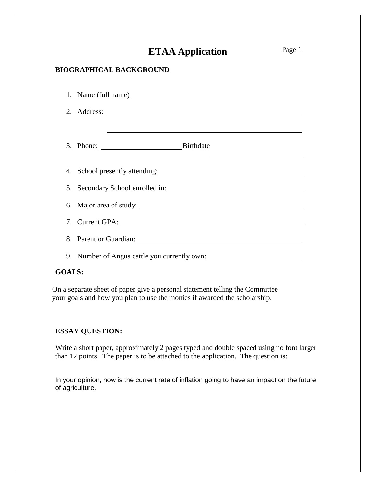# **ETAA Application**

### **BIOGRAPHICAL BACKGROUND**

| 3. Phone: Birthdate                          |
|----------------------------------------------|
|                                              |
|                                              |
| 6. Major area of study:                      |
|                                              |
|                                              |
| 9. Number of Angus cattle you currently own: |

### **GOALS:**

On a separate sheet of paper give a personal statement telling the Committee your goals and how you plan to use the monies if awarded the scholarship.

### **ESSAY QUESTION:**

Write a short paper, approximately 2 pages typed and double spaced using no font larger than 12 points. The paper is to be attached to the application. The question is:

In your opinion, how is the current rate of inflation going to have an impact on the future of agriculture.